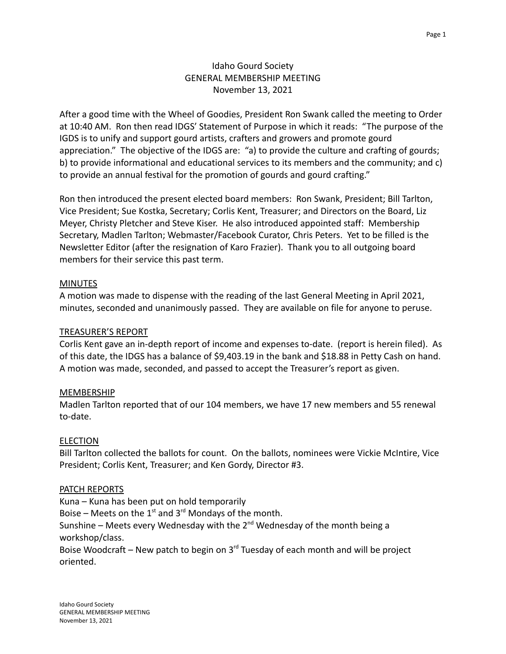After a good time with the Wheel of Goodies, President Ron Swank called the meeting to Order at 10:40 AM. Ron then read IDGS' Statement of Purpose in which it reads: "The purpose of the IGDS is to unify and support gourd artists, crafters and growers and promote gourd appreciation." The objective of the IDGS are: "a) to provide the culture and crafting of gourds; b) to provide informational and educational services to its members and the community; and c) to provide an annual festival for the promotion of gourds and gourd crafting."

Ron then introduced the present elected board members: Ron Swank, President; Bill Tarlton, Vice President; Sue Kostka, Secretary; Corlis Kent, Treasurer; and Directors on the Board, Liz Meyer, Christy Pletcher and Steve Kiser. He also introduced appointed staff: Membership Secretary, Madlen Tarlton; Webmaster/Facebook Curator, Chris Peters. Yet to be filled is the Newsletter Editor (after the resignation of Karo Frazier). Thank you to all outgoing board members for their service this past term.

### MINUTES

A motion was made to dispense with the reading of the last General Meeting in April 2021, minutes, seconded and unanimously passed. They are available on file for anyone to peruse.

#### TREASURER'S REPORT

Corlis Kent gave an in-depth report of income and expenses to-date. (report is herein filed). As of this date, the IDGS has a balance of \$9,403.19 in the bank and \$18.88 in Petty Cash on hand. A motion was made, seconded, and passed to accept the Treasurer's report as given.

### MEMBERSHIP

Madlen Tarlton reported that of our 104 members, we have 17 new members and 55 renewal to-date.

#### ELECTION

Bill Tarlton collected the ballots for count. On the ballots, nominees were Vickie McIntire, Vice President; Corlis Kent, Treasurer; and Ken Gordy, Director #3.

#### PATCH REPORTS

Kuna – Kuna has been put on hold temporarily Boise – Meets on the  $1<sup>st</sup>$  and  $3<sup>rd</sup>$  Mondays of the month. Sunshine – Meets every Wednesday with the  $2<sup>nd</sup>$  Wednesday of the month being a workshop/class.

Boise Woodcraft – New patch to begin on  $3<sup>rd</sup>$  Tuesday of each month and will be project oriented.